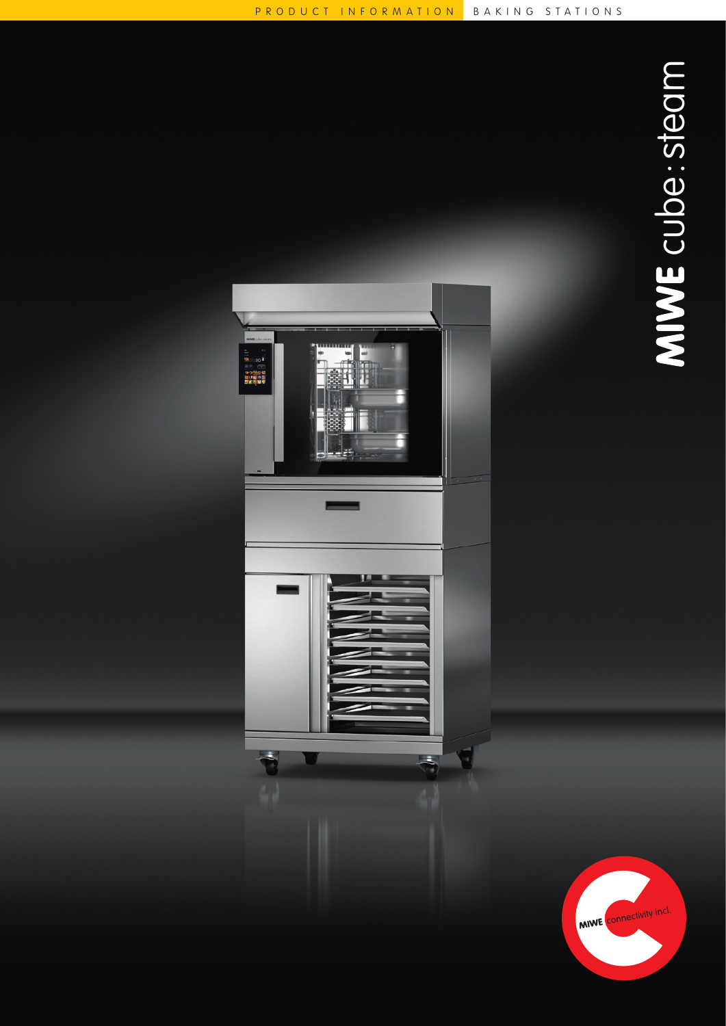MIWE Connectivity incl.